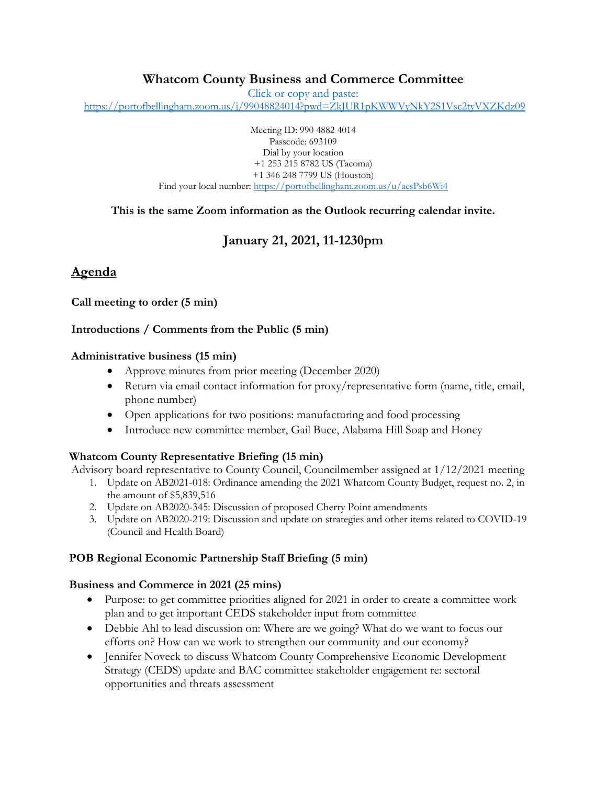## **Whatcom County Business and Commerce Committee**

Click or copy and paste:

<https://portofbellingham.zoom.us/j/99048824014?pwd=ZkJUR1pKWWVyNkY2S1Vsc2tyVXZKdz09>

Meeting ID: 990 4882 4014 Passcode: 693109 Dial by your location +1 253 215 8782 US (Tacoma) +1 346 248 7799 US (Houston) Find your local number:<https://portofbellingham.zoom.us/u/aesPsb6Wi4>

**This is the same Zoom information as the Outlook recurring calendar invite.**

# **January 21, 2021, 11-1230pm**

## **Agenda**

**Call meeting to order (5 min)**

### **Introductions / Comments from the Public (5 min)**

#### **Administrative business (15 min)**

- Approve minutes from prior meeting (December 2020)
- Return via email contact information for proxy/representative form (name, title, email, phone number)
- Open applications for two positions: manufacturing and food processing
- Introduce new committee member, Gail Buce, Alabama Hill Soap and Honey

### **Whatcom County Representative Briefing (15 min)**

Advisory board representative to County Council, Councilmember assigned at 1/12/2021 meeting

- 1. Update on AB2021-018: Ordinance amending the 2021 Whatcom County Budget, request no. 2, in the amount of \$5,839,516
- 2. Update on AB2020-345: Discussion of proposed Cherry Point amendments
- 3. Update on AB2020-219: Discussion and update on strategies and other items related to COVID-19 (Council and Health Board)

### **POB Regional Economic Partnership Staff Briefing (5 min)**

## **Business and Commerce in 2021 (25 mins)**

- Purpose: to get committee priorities aligned for 2021 in order to create a committee work plan and to get important CEDS stakeholder input from committee
- Debbie Ahl to lead discussion on: Where are we going? What do we want to focus our efforts on? How can we work to strengthen our community and our economy?
- Jennifer Noveck to discuss Whatcom County Comprehensive Economic Development Strategy (CEDS) update and BAC committee stakeholder engagement re: sectoral opportunities and threats assessment